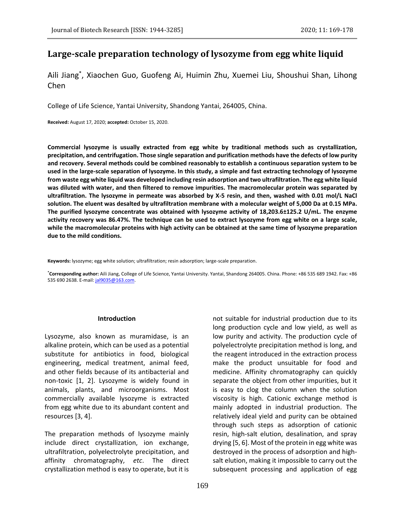# **Large-scale preparation technology of lysozyme from egg white liquid**

Aili Jiang\* , Xiaochen Guo, Guofeng Ai, Huimin Zhu, Xuemei Liu, Shoushui Shan, Lihong Chen

College of Life Science, Yantai University, Shandong Yantai, 264005, China.

**Received:** August 17, 2020; **accepted:** October 15, 2020.

**Commercial lysozyme is usually extracted from egg white by traditional methods such as crystallization, precipitation, and centrifugation. Those single separation and purification methods have the defects of low purity and recovery. Several methods could be combined reasonably to establish a continuous separation system to be used in the large-scale separation of lysozyme. In this study, a simple and fast extracting technology of lysozyme from waste egg white liquid was developed including resin adsorption and two ultrafiltration. The egg white liquid was diluted with water, and then filtered to remove impurities. The macromolecular protein was separated by ultrafiltration. The lysozyme in permeate was absorbed by X-5 resin, and then, washed with 0.01 mol/L NaCl solution. The eluent was desalted by ultrafiltration membrane with a molecular weight of 5,000 Da at 0.15 MPa. The purified lysozyme concentrate was obtained with lysozyme activity of 18,203.6±125.2 U/mL. The enzyme activity recovery was 86.47%. The technique can be used to extract lysozyme from egg white on a large scale, while the macromolecular proteins with high activity can be obtained at the same time of lysozyme preparation due to the mild conditions.**

**Keywords:** lysozyme; egg white solution; ultrafiltration; resin adsorption; large-scale preparation.

**\*Corresponding author:** Aili Jiang, College of Life Science, Yantai University. Yantai, Shandong 264005. China. Phone: +86 535 689 1942. Fax: +86 535 690 2638. E-mail[: jal9035@163.com.](mailto:jal9035@163.com)

#### **Introduction**

Lysozyme, also known as muramidase, is an alkaline protein, which can be used as a potential substitute for antibiotics in food, biological engineering, medical treatment, animal feed, and other fields because of its antibacterial and non-toxic [1, 2]. Lysozyme is widely found in animals, plants, and microorganisms. Most commercially available lysozyme is extracted from egg white due to its abundant content and resources [3, 4].

The preparation methods of lysozyme mainly include direct crystallization, ion exchange, ultrafiltration, polyelectrolyte precipitation, and affinity chromatography, *etc*. The direct crystallization method is easy to operate, but it is

not suitable for industrial production due to its long production cycle and low yield, as well as low purity and activity. The production cycle of polyelectrolyte precipitation method is long, and the reagent introduced in the extraction process make the product unsuitable for food and medicine. Affinity chromatography can quickly separate the object from other impurities, but it is easy to clog the column when the solution viscosity is high. Cationic exchange method is mainly adopted in industrial production. The relatively ideal yield and purity can be obtained through such steps as adsorption of cationic resin, high-salt elution, desalination, and spray drying [5, 6]. Most of the protein in egg white was destroyed in the process of adsorption and highsalt elution, making it impossible to carry out the subsequent processing and application of egg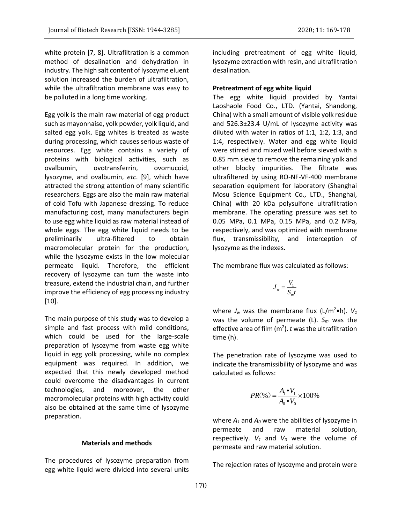white protein [7, 8]. Ultrafiltration is a common method of desalination and dehydration in industry. The high salt content of lysozyme eluent solution increased the burden of ultrafiltration, while the ultrafiltration membrane was easy to be polluted in a long time working.

Egg yolk is the main raw material of egg product such as mayonnaise, yolk powder, yolk liquid, and salted egg yolk. Egg whites is treated as waste during processing, which causes serious waste of resources. Egg white contains a variety of proteins with biological activities, such as ovalbumin, ovotransferrin, ovomucoid, lysozyme, and ovalbumin, *etc*. [9], which have attracted the strong attention of many scientific researchers. Eggs are also the main raw material of cold Tofu with Japanese dressing. To reduce manufacturing cost, many manufacturers begin to use egg white liquid as raw material instead of whole eggs. The egg white liquid needs to be preliminarily ultra-filtered to obtain macromolecular protein for the production, while the lysozyme exists in the low molecular permeate liquid. Therefore, the efficient recovery of lysozyme can turn the waste into treasure, extend the industrial chain, and further improve the efficiency of egg processing industry [10].

The main purpose of this study was to develop a simple and fast process with mild conditions, which could be used for the large-scale preparation of lysozyme from waste egg white liquid in egg yolk processing, while no complex equipment was required. In addition, we expected that this newly developed method could overcome the disadvantages in current technologies, and moreover, the other macromolecular proteins with high activity could also be obtained at the same time of lysozyme preparation.

## **Materials and methods**

The procedures of lysozyme preparation from egg white liquid were divided into several units

including pretreatment of egg white liquid, lysozyme extraction with resin, and ultrafiltration desalination.

## **Pretreatment of egg white liquid**

The egg white liquid provided by Yantai Laoshaole Food Co., LTD. (Yantai, Shandong, China) with a small amount of visible yolk residue and 526.3±23.4 U/mL of lysozyme activity was diluted with water in ratios of 1:1, 1:2, 1:3, and 1:4, respectively. Water and egg white liquid were stirred and mixed well before sieved with a 0.85 mm sieve to remove the remaining yolk and other blocky impurities. The filtrate was ultrafiltered by using RO-NF-VF-400 membrane separation equipment for laboratory (Shanghai Mosu Science Equipment Co., LTD., Shanghai, China) with 20 kDa polysulfone ultrafiltration membrane. The operating pressure was set to 0.05 MPa, 0.1 MPa, 0.15 MPa, and 0.2 MPa, respectively, and was optimized with membrane flux, transmissibility, and interception of lysozyme as the indexes.

The membrane flux was calculated as follows:

$$
J_w = \frac{V_1}{S_m t}
$$

where  $J_w$  was the membrane flux (L/m<sup>2</sup>•h).  $V_1$ was the volume of permeate (L). *S<sup>m</sup>* was the effective area of film (m<sup>2</sup>). *t* was the ultrafiltration time (h).

The penetration rate of lysozyme was used to indicate the transmissibility of lysozyme and was calculated as follows:

$$
PR(\%)=\frac{A_{1} \cdot V_{1}}{A_{0} \cdot V_{0}} \times 100\%
$$

where *A<sup>1</sup>* and *A<sup>0</sup>* were the abilities of lysozyme in permeate and raw material solution, respectively.  $V_1$  and  $V_0$  were the volume of permeate and raw material solution.

The rejection rates of lysozyme and protein were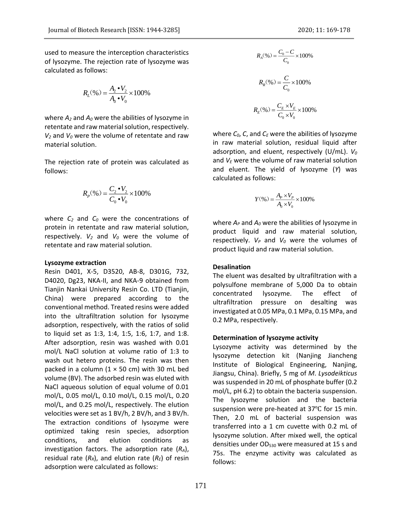used to measure the interception characteristics of lysozyme. The rejection rate of lysozyme was calculated as follows:

$$
R_L(\%) = \frac{A_2 \cdot V_2}{A_0 \cdot V_0} \times 100\%
$$

where  $A_2$  and  $A_0$  were the abilities of lysozyme in retentate and raw material solution, respectively. *V<sup>2</sup>* and *V<sup>0</sup>* were the volume of retentate and raw material solution.

The rejection rate of protein was calculated as follows:

$$
R_p(\%) = \frac{C_2 \cdot V_2}{C_0 \cdot V_0} \times 100\%
$$

where *C<sup>2</sup>* and *C<sup>0</sup>* were the concentrations of protein in retentate and raw material solution, respectively. *V<sup>2</sup>* and *V<sup>0</sup>* were the volume of retentate and raw material solution.

#### **Lysozyme extraction**

Resin D401, X-5, D3520, AB-8, D301G, 732, D4020, Dg23, NKA-II, and NKA-9 obtained from Tianjin Nankai University Resin Co. LTD (Tianjin, China) were prepared according to the conventional method. Treated resins were added into the ultrafiltration solution for lysozyme adsorption, respectively, with the ratios of solid to liquid set as 1:3, 1:4, 1:5, 1:6, 1:7, and 1:8. After adsorption, resin was washed with 0.01 mol/L NaCl solution at volume ratio of 1:3 to wash out hetero proteins. The resin was then packed in a column  $(1 \times 50 \text{ cm})$  with 30 mL bed volume (BV). The adsorbed resin was eluted with NaCl aqueous solution of equal volume of 0.01 mol/L, 0.05 mol/L, 0.10 mol/L, 0.15 mol/L, 0.20 mol/L, and 0.25 mol/L, respectively. The elution velocities were set as 1 BV/h, 2 BV/h, and 3 BV/h. The extraction conditions of lysozyme were optimized taking resin species, adsorption conditions, and elution conditions as investigation factors. The adsorption rate (*RA*), residual rate (*RR*), and elution rate (*RE*) of resin adsorption were calculated as follows:

$$
R_{A}(96) = \frac{C_{0} - C}{C_{0}} \times 100\%
$$
  

$$
R_{R}(96) = \frac{C}{C_{0}} \times 100\%
$$
  

$$
R_{E}(96) = \frac{C_{E} \times V_{E}}{C_{0} \times V_{0}} \times 100\%
$$

where *C0*, *C*, and *C<sup>E</sup>* were the abilities of lysozyme in raw material solution, residual liquid after adsorption, and eluent, respectively (U/mL). *V<sup>0</sup>* and  $V<sub>E</sub>$  were the volume of raw material solution and eluent. The yield of lysozyme (*Y*) was calculated as follows:

$$
Y(\%) = \frac{A_p \times V_p}{A_0 \times V_0} \times 100\%
$$

where  $A_P$  and  $A_Q$  were the abilities of lysozyme in product liquid and raw material solution, respectively.  $V_P$  and  $V_Q$  were the volumes of product liquid and raw material solution.

## **Desalination**

The eluent was desalted by ultrafiltration with a polysulfone membrane of 5,000 Da to obtain concentrated lysozyme. The effect of ultrafiltration pressure on desalting was investigated at 0.05 MPa, 0.1 MPa, 0.15 MPa, and 0.2 MPa, respectively.

## **Determination of lysozyme activity**

Lysozyme activity was determined by the lysozyme detection kit (Nanjing Jiancheng Institute of Biological Engineering, Nanjing, Jiangsu, China). Briefly, 5 mg of *M*. *Lysodeikticus*  was suspended in 20 mL of phosphate buffer (0.2 mol/L, pH 6.2) to obtain the bacteria suspension. The lysozyme solution and the bacteria suspension were pre-heated at 37℃ for 15 min. Then, 2.0 mL of bacterial suspension was transferred into a 1 cm cuvette with 0.2 mL of lysozyme solution. After mixed well, the optical densities under  $OD<sub>530</sub>$  were measured at 15 s and 75s. The enzyme activity was calculated as follows: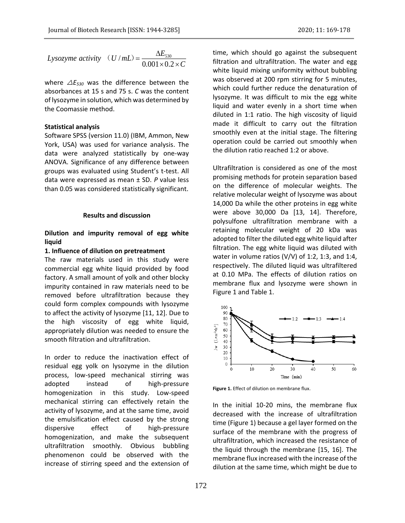$\alpha$ ctivity  $(U/mL) = \frac{\Delta L_{530}}{8.825 \times 10^{-3}}$  $\frac{\Delta E_{530}}{0.001 \times 0.2}$ *Lysozyme activity*  $(U/mL) = \frac{\Delta E_{530}}{0.001 \times 0.2 \times C}$  $=\frac{\Delta}{\Delta}$  $\frac{E_{530}}{\times 0.2 \times C}$  $(U/mL) = \frac{1}{0.00}$ 

where  $\Delta E_{530}$  was the difference between the absorbances at 15 s and 75 s. *C* was the content of lysozyme in solution, which was determined by the Coomassie method.

## **Statistical analysis**

Software SPSS (version 11.0) (IBM, Ammon, New York, USA) was used for variance analysis. The data were analyzed statistically by one-way ANOVA. Significance of any difference between groups was evaluated using Student's t-test. All data were expressed as mean ± SD. *P* value less than 0.05 was considered statistically significant.

#### **Results and discussion**

# **Dilution and impurity removal of egg white liquid**

#### **1. Influence of dilution on pretreatment**

The raw materials used in this study were commercial egg white liquid provided by food factory. A small amount of yolk and other blocky impurity contained in raw materials need to be removed before ultrafiltration because they could form complex compounds with lysozyme to affect the activity of lysozyme [11, 12]. Due to the high viscosity of egg white liquid, appropriately dilution was needed to ensure the smooth filtration and ultrafiltration.

In order to reduce the inactivation effect of residual egg yolk on lysozyme in the dilution process, low-speed mechanical stirring was adopted instead of high-pressure homogenization in this study. Low-speed mechanical stirring can effectively retain the activity of lysozyme, and at the same time, avoid the emulsification effect caused by the strong dispersive effect of high-pressure homogenization, and make the subsequent ultrafiltration smoothly. Obvious bubbling phenomenon could be observed with the increase of stirring speed and the extension of time, which should go against the subsequent filtration and ultrafiltration. The water and egg white liquid mixing uniformity without bubbling was observed at 200 rpm stirring for 5 minutes, which could further reduce the denaturation of lysozyme. It was difficult to mix the egg white liquid and water evenly in a short time when diluted in 1:1 ratio. The high viscosity of liquid made it difficult to carry out the filtration smoothly even at the initial stage. The filtering operation could be carried out smoothly when the dilution ratio reached 1:2 or above.

Ultrafiltration is considered as one of the most promising methods for protein separation based on the difference of molecular weights. The relative molecular weight of lysozyme was about 14,000 Da while the other proteins in egg white were above 30,000 Da [13, 14]. Therefore, polysulfone ultrafiltration membrane with a retaining molecular weight of 20 kDa was adopted to filter the diluted egg white liquid after filtration. The egg white liquid was diluted with water in volume ratios (V/V) of 1:2, 1:3, and 1:4, respectively. The diluted liquid was ultrafiltered at 0.10 MPa. The effects of dilution ratios on membrane flux and lysozyme were shown in Figure 1 and Table 1.



**Figure 1.** Effect of dilution on membrane flux.

In the initial 10-20 mins, the membrane flux decreased with the increase of ultrafiltration time (Figure 1) because a gel layer formed on the surface of the membrane with the progress of ultrafiltration, which increased the resistance of the liquid through the membrane [15, 16]. The membrane flux increased with the increase of the dilution at the same time, which might be due to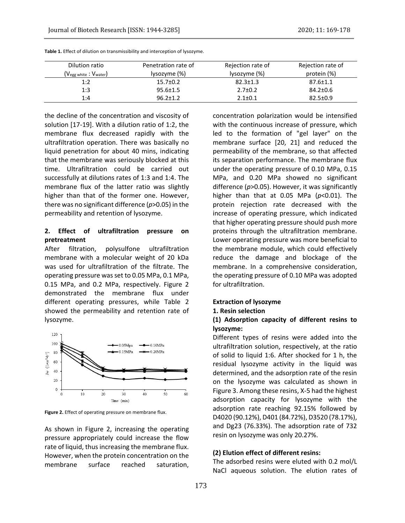| Dilution ratio                        | Penetration rate of | Rejection rate of | Rejection rate of |
|---------------------------------------|---------------------|-------------------|-------------------|
| $(\mathsf{V_{egg\,white}:V_{water}})$ | $lysozvme$ $(\%)$   | lysozyme (%)      | protein (%)       |
| 1:2                                   | $15.7 \pm 0.2$      | $82.3 \pm 1.3$    | $87.6 \pm 1.1$    |
| 1:3                                   | $95.6 \pm 1.5$      | $2.7 \pm 0.2$     | 84.2±0.6          |
| 1:4                                   | $96.2 \pm 1.2$      | $2.1 \pm 0.1$     | $82.5 \pm 0.9$    |

**Table 1.** Effect of dilution on transmissibility and interception of lysozyme.

the decline of the concentration and viscosity of solution [17-19]. With a dilution ratio of 1:2, the membrane flux decreased rapidly with the ultrafiltration operation. There was basically no liquid penetration for about 40 mins, indicating that the membrane was seriously blocked at this time. Ultrafiltration could be carried out successfully at dilutions rates of 1:3 and 1:4. The membrane flux of the latter ratio was slightly higher than that of the former one. However, there was no significant difference (*p*>0.05) in the permeability and retention of lysozyme.

# **2. Effect of ultrafiltration pressure on pretreatment**

After filtration, polysulfone ultrafiltration membrane with a molecular weight of 20 kDa was used for ultrafiltration of the filtrate. The operating pressure was set to 0.05 MPa, 0.1 MPa, 0.15 MPa, and 0.2 MPa, respectively. Figure 2 demonstrated the membrane flux under different operating pressures, while Table 2 showed the permeability and retention rate of lysozyme.



**Figure 2.** Effect of operating pressure on membrane flux.

As shown in Figure 2, increasing the operating pressure appropriately could increase the flow rate of liquid, thus increasing the membrane flux. However, when the protein concentration on the membrane surface reached saturation,

concentration polarization would be intensified with the continuous increase of pressure, which led to the formation of "gel layer" on the membrane surface [20, 21] and reduced the permeability of the membrane, so that affected its separation performance. The membrane flux under the operating pressure of 0.10 MPa, 0.15 MPa, and 0.20 MPa showed no significant difference (*p*>0.05). However, it was significantly higher than that at 0.05 MPa (*p*<0.01). The protein rejection rate decreased with the increase of operating pressure, which indicated that higher operating pressure should push more proteins through the ultrafiltration membrane. Lower operating pressure was more beneficial to the membrane module, which could effectively reduce the damage and blockage of the membrane. In a comprehensive consideration, the operating pressure of 0.10 MPa was adopted for ultrafiltration.

## **Extraction of lysozyme**

## **1. Resin selection**

# **(1) Adsorption capacity of different resins to lysozyme:**

Different types of resins were added into the ultrafiltration solution, respectively, at the ratio of solid to liquid 1:6. After shocked for 1 h, the residual lysozyme activity in the liquid was determined, and the adsorption rate of the resin on the lysozyme was calculated as shown in Figure 3. Among these resins, X-5 had the highest adsorption capacity for lysozyme with the adsorption rate reaching 92.15% followed by D4020 (90.12%), D401 (84.72%), D3520 (78.17%), and Dg23 (76.33%). The adsorption rate of 732 resin on lysozyme was only 20.27%.

#### **(2) Elution effect of different resins:**

The adsorbed resins were eluted with 0.2 mol/L NaCl aqueous solution. The elution rates of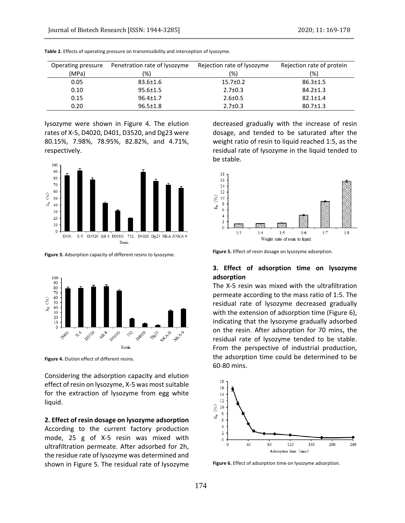| Operating pressure | Penetration rate of lysozyme | Rejection rate of lysozyme | Rejection rate of protein |
|--------------------|------------------------------|----------------------------|---------------------------|
| (MPa)              | (%)                          | (%)                        | (%)                       |
| 0.05               | $83.6 \pm 1.6$               | $15.7 \pm 0.2$             | $86.3 \pm 1.5$            |
| 0.10               | $95.6 \pm 1.5$               | $2.7 \pm 0.3$              | $84.2 \pm 1.3$            |
| 0.15               | $96.4 \pm 1.7$               | $2.6 \pm 0.5$              | $82.1 \pm 1.4$            |
| 0.20               | $96.5 \pm 1.8$               | $2.7 \pm 0.3$              | $80.7 \pm 1.3$            |

**Table 2.** Effects of operating pressure on transmissibility and interception of lysozyme.

lysozyme were shown in Figure 4. The elution rates of X-5, D4020, D401, D3520, and Dg23 were 80.15%, 7.98%, 78.95%, 82.82%, and 4.71%, respectively.



**Figure 3.** Adsorption capacity of different resins to lysozyme.



**Figure 4.** Elution effect of different resins.

Considering the adsorption capacity and elution effect of resin on lysozyme, X-5 was most suitable for the extraction of lysozyme from egg white liquid.

#### **2. Effect of resin dosage on lysozyme adsorption**

According to the current factory production mode, 25 g of X-5 resin was mixed with ultrafiltration permeate. After adsorbed for 2h, the residue rate of lysozyme was determined and shown in Figure 5. The residual rate of lysozyme decreased gradually with the increase of resin dosage, and tended to be saturated after the weight ratio of resin to liquid reached 1:5, as the residual rate of lysozyme in the liquid tended to be stable.



**Figure 5.** Effect of resin dosage on lysozyme adsorption.

# **3. Effect of adsorption time on lysozyme adsorption**

The X-5 resin was mixed with the ultrafiltration permeate according to the mass ratio of 1:5. The residual rate of lysozyme decreased gradually with the extension of adsorption time (Figure 6), indicating that the lysozyme gradually adsorbed on the resin. After adsorption for 70 mins, the residual rate of lysozyme tended to be stable. From the perspective of industrial production, the adsorption time could be determined to be 60-80 mins.



**Figure 6.** Effect of adsorption time on lysozyme adsorption.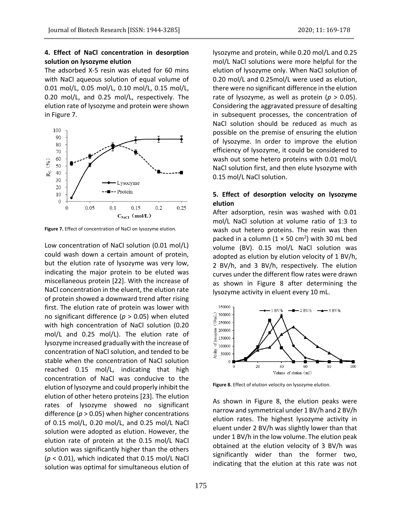# **4. Effect of NaCl concentration in desorption solution on lysozyme elution**

The adsorbed X-5 resin was eluted for 60 mins with NaCl aqueous solution of equal volume of 0.01 mol/L, 0.05 mol/L, 0.10 mol/L, 0.15 mol/L, 0.20 mol/L, and 0.25 mol/L, respectively. The elution rate of lysozyme and protein were shown in Figure 7.



**Figure 7.** Effect of concentration of NaCl on lysozyme elution.

Low concentration of NaCl solution (0.01 mol/L) could wash down a certain amount of protein, but the elution rate of lysozyme was very low, indicating the major protein to be eluted was miscellaneous protein [22]. With the increase of NaCl concentration in the eluent, the elution rate of protein showed a downward trend after rising first. The elution rate of protein was lower with no significant difference (*p* > 0.05) when eluted with high concentration of NaCl solution (0.20 mol/L and 0.25 mol/L). The elution rate of lysozyme increased gradually with the increase of concentration of NaCl solution, and tended to be stable when the concentration of NaCl solution reached 0.15 mol/L, indicating that high concentration of NaCl was conducive to the elution of lysozyme and could properly inhibit the elution of other hetero proteins [23]. The elution rates of lysozyme showed no significant difference (*p* > 0.05) when higher concentrations of 0.15 mol/L, 0.20 mol/L, and 0.25 mol/L NaCl solution were adopted as elution. However, the elution rate of protein at the 0.15 mol/L NaCl solution was significantly higher than the others (*p* < 0.01), which indicated that 0.15 mol/L NaCl solution was optimal for simultaneous elution of lysozyme and protein, while 0.20 mol/L and 0.25 mol/L NaCl solutions were more helpful for the elution of lysozyme only. When NaCl solution of 0.20 mol/L and 0.25mol/L were used as elution, there were no significant difference in the elution rate of lysozyme, as well as protein ( $p > 0.05$ ). Considering the aggravated pressure of desalting in subsequent processes, the concentration of NaCl solution should be reduced as much as possible on the premise of ensuring the elution of lysozyme. In order to improve the elution efficiency of lysozyme, it could be considered to wash out some hetero proteins with 0.01 mol/L NaCl solution first, and then elute lysozyme with 0.15 mol/L NaCl solution.

# **5. Effect of desorption velocity on lysozyme elution**

After adsorption, resin was washed with 0.01 mol/L NaCl solution at volume ratio of 1:3 to wash out hetero proteins. The resin was then packed in a column  $(1 \times 50 \text{ cm}^2)$  with 30 mL bed volume (BV). 0.15 mol/L NaCl solution was adopted as elution by elution velocity of 1 BV/h, 2 BV/h, and 3 BV/h, respectively. The elution curves under the different flow rates were drawn as shown in Figure 8 after determining the lysozyme activity in eluent every 10 mL.



**Figure 8.** Effect of elution velocity on lysozyme elution.

As shown in Figure 8, the elution peaks were narrow and symmetrical under 1 BV/h and 2 BV/h elution rates. The highest lysozyme activity in eluent under 2 BV/h was slightly lower than that under 1 BV/h in the low volume. The elution peak obtained at the elution velocity of 3 BV/h was significantly wider than the former two, indicating that the elution at this rate was not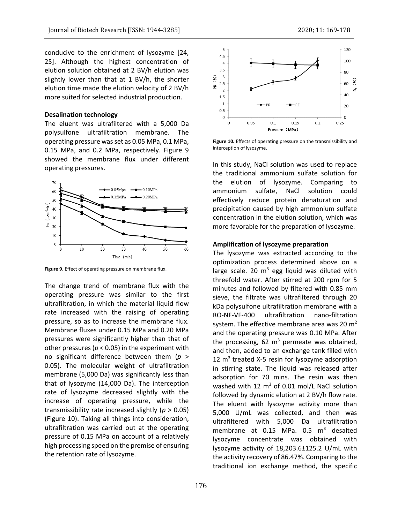conducive to the enrichment of lysozyme [24, 25]. Although the highest concentration of elution solution obtained at 2 BV/h elution was slightly lower than that at 1 BV/h, the shorter elution time made the elution velocity of 2 BV/h more suited for selected industrial production.

#### **Desalination technology**

The eluent was ultrafiltered with a 5,000 Da polysulfone ultrafiltration membrane. The operating pressure was set as 0.05 MPa, 0.1 MPa, 0.15 MPa, and 0.2 MPa, respectively. Figure 9 showed the membrane flux under different operating pressures.



**Figure 9.** Effect of operating pressure on membrane flux.

The change trend of membrane flux with the operating pressure was similar to the first ultrafiltration, in which the material liquid flow rate increased with the raising of operating pressure, so as to increase the membrane flux. Membrane fluxes under 0.15 MPa and 0.20 MPa pressures were significantly higher than that of other pressures (*p* < 0.05) in the experiment with no significant difference between them (*p* > 0.05). The molecular weight of ultrafiltration membrane (5,000 Da) was significantly less than that of lysozyme (14,000 Da). The interception rate of lysozyme decreased slightly with the increase of operating pressure, while the transmissibility rate increased slightly (*p* > 0.05) (Figure 10). Taking all things into consideration, ultrafiltration was carried out at the operating pressure of 0.15 MPa on account of a relatively high processing speed on the premise of ensuring the retention rate of lysozyme.



**Figure 10.** Effects of operating pressure on the transmissibility and interception of lysozyme.

In this study, NaCl solution was used to replace the traditional ammonium sulfate solution for the elution of lysozyme. Comparing to ammonium sulfate, NaCl solution could effectively reduce protein denaturation and precipitation caused by high ammonium sulfate concentration in the elution solution, which was more favorable for the preparation of lysozyme.

## **Amplification of lysozyme preparation**

The lysozyme was extracted according to the optimization process determined above on a large scale. 20  $m^3$  egg liquid was diluted with threefold water. After stirred at 200 rpm for 5 minutes and followed by filtered with 0.85 mm sieve, the filtrate was ultrafiltered through 20 kDa polysulfone ultrafiltration membrane with a RO-NF-VF-400 ultrafiltration nano-filtration system. The effective membrane area was 20  $m<sup>2</sup>$ and the operating pressure was 0.10 MPa. After the processing, 62  $m<sup>3</sup>$  permeate was obtained, and then, added to an exchange tank filled with 12 m<sup>3</sup> treated X-5 resin for lysozyme adsorption in stirring state. The liquid was released after adsorption for 70 mins. The resin was then washed with 12  $m^3$  of 0.01 mol/L NaCl solution followed by dynamic elution at 2 BV/h flow rate. The eluent with lysozyme activity more than 5,000 U/mL was collected, and then was ultrafiltered with 5,000 Da ultrafiltration membrane at 0.15 MPa. 0.5  $m^3$  desalted lysozyme concentrate was obtained with lysozyme activity of 18,203.6±125.2 U/mL with the activity recovery of 86.47%. Comparing to the traditional ion exchange method, the specific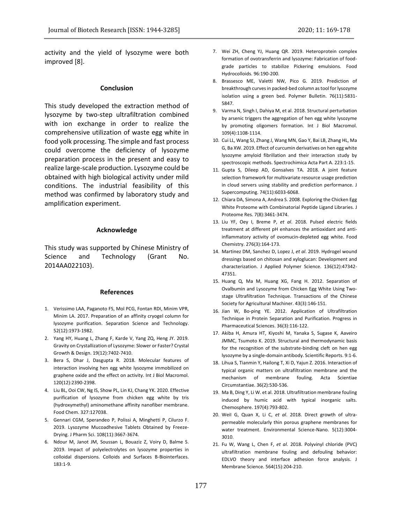activity and the yield of lysozyme were both improved [8].

#### **Conclusion**

This study developed the extraction method of lysozyme by two-step ultrafiltration combined with ion exchange in order to realize the comprehensive utilization of waste egg white in food yolk processing. The simple and fast process could overcome the deficiency of lysozyme preparation process in the present and easy to realize large-scale production. Lysozyme could be obtained with high biological activity under mild conditions. The industrial feasibility of this method was confirmed by laboratory study and amplification experiment.

#### **Acknowledge**

This study was supported by Chinese Ministry of Science and Technology (Grant No. 2014AA022103).

#### **References**

- 1. Verissimo LAA, Paganoto FS, Mol PCG, Fontan RDI, Minim VPR, Minim LA. 2017. Preparation of an affinity cryogel column for lysozyme purification. Separation Science and Technology. 52(12):1973-1982.
- 2. Yang HY, Huang L, Zhang F, Karde V, Yang ZQ, Heng JY. 2019. Gravity on Crystallization of Lysozyme: Slower or Faster? Crystal Growth & Design. 19(12):7402-7410.
- 3. Bera S, Dhar J, Dasgupta R. 2018. Molecular features of interaction involving hen egg white lysozyme immobilized on graphene oxide and the effect on activity. Int J Biol Macromol. 120(12):2390-2398.
- 4. Liu BL, Ooi CW, Ng IS, Show PL, Lin KJ, Chang YK. 2020. Effective purification of lysozyme from chicken egg white by tris (hydroxymethyl) aminomethane affinity nanofiber membrane. Food Chem. 327:127038.
- 5. Gennari CGM, Sperandeo P, Polissi A, Minghetti P, Cilurzo F. 2019. Lysozyme Mucoadhesive Tablets Obtained by Freeze-Drying. J Pharm Sci. 108(11):3667-3674.
- 6. Ndour M, Janot JM, Soussan L, Bouaziz Z, Voiry D, Balme S. 2019. Impact of polyelectrolytes on lysozyme properties in colloidal dispersions. Colloids and Surfaces B-Biointerfaces. 183:1-9.
- 7. Wei ZH, Cheng YJ, Huang QR. 2019. Heteroprotein complex formation of ovotransferrin and lysozyme: Fabrication of foodgrade particles to stabilize Pickering emulsions. Food Hydrocolloids. 96:190-200.
- 8. Brassesco ME, Valetti NW, Pico G. 2019. Prediction of breakthrough curves in packed-bed column as tool for lysozyme isolation using a green bed. Polymer Bulletin. 76(11):5831- 5847.
- 9. Varma N, Singh I, Dahiya M, et al. 2018. Structural perturbation by arsenic triggers the aggregation of hen egg white lysozyme by promoting oligomers formation. Int J Biol Macromol. 109(4):1108-1114.
- 10. Cui LL, Wang SJ, Zhang J, Wang MN, Gao Y, Bai LB, Zhang HL, Ma G, Ba XW. 2019. Effect of curcumin derivatives on hen egg white lysozyme amyloid fibrillation and their interaction study by spectroscopic methods. Spectrochimica Acta Part A. 223:1-15.
- 11. Gupta S, Dileep AD, Gonsalves TA. 2018. A joint feature selection framework for multivariate resource usage prediction in cloud servers using stability and prediction performance. J Supercomputing. 74(11):6033-6068.
- 12. Chiara DA, Simona A, Andrea S. 2008. Exploring the Chicken Egg White Proteome with Combinatorial Peptide Ligand Libraries. J Proteome Res. 7(8):3461-3474.
- 13. Liu YF, Oey I, Breme P, *et al*. 2018. Pulsed electric fields treatment at different pH enhances the antioxidant and antiinflammatory activity of ovomucin-depleted egg white. Food Chemistry. 276(3):164-173.
- 14. Martinez DM, Sanchez D, Lopez J, *et al*. 2019. Hydrogel wound dressings based on chitosan and xyloglucan: Development and characterization. J Applied Polymer Science. 136(12):47342- 47351.
- 15. Huang Q, Ma M, Huang XG, Fang H. 2012. Separation of Ovalbumin and Lysozyme from Chicken Egg White Using Twostage Ultrafiltration Technique. Transactions of the Chinese Society for Agricultural Machiner. 43(3):146-151.
- 16. Jian W, Bo-ping YE. 2012. Application of Ultrafiltration Technique in Protein Separation and Purification. Progress in Pharmaceutical Sciences. 36(3):116-122.
- 17. Akiba H, Amura HT, Kiyoshi M, Yanaka S, Sugase K, Aaveiro JMMC, Tsumoto K. 2019. Structural and thermodynamic basis for the recognition of the substrate-binding cleft on hen egg lysozyme by a single-domain antibody. Scientific Reports. 9:1-6.
- 18. Lihua S, Tianmin Y, Hailong T, Xi D, Yajun Z. 2016. Interaction of typical organic matters on ultrafiltration membrane and the mechanism of membrane fouling. Acta Scientiae Circumstantiae. 36(2):530-536.
- 19. Ma B, Ding Y, Li W. et al. 2018. Ultrafiltration membrane fouling induced by humic acid with typical inorganic salts. Chemosphere. 197(4):793-802.
- 20. WeiI G, Quan X, Li C, *et al*. 2018. Direct growth of ultrapermeable molecularly thin porous graphene membranes for water treatment. Environmental Science-Nano. 5(12):3004- 3010.
- 21. Fu W, Wang L, Chen F, *et al*. 2018. Polyvinyl chloride (PVC) ultrafiltration membrane fouling and defouling behavior: EDLVO theory and interface adhesion force analysis. J Membrane Science. 564(15):204-210.